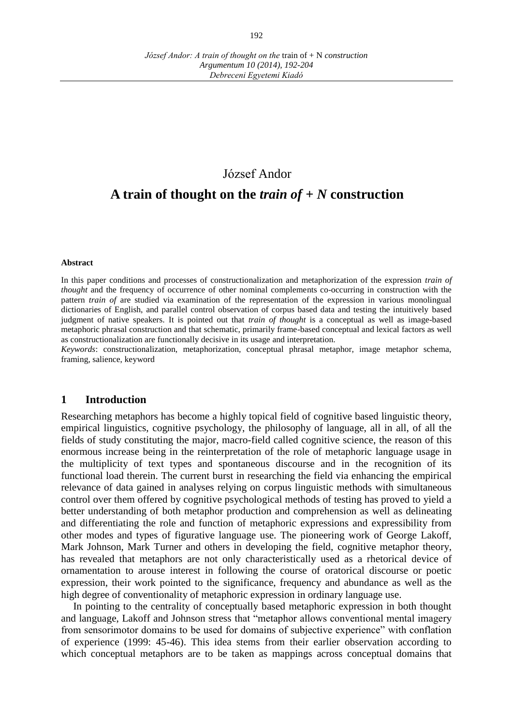### József Andor

# **A train of thought on the** *train of + N* **construction**

#### **Abstract**

In this paper conditions and processes of constructionalization and metaphorization of the expression *train of thought* and the frequency of occurrence of other nominal complements co-occurring in construction with the pattern *train of* are studied via examination of the representation of the expression in various monolingual dictionaries of English, and parallel control observation of corpus based data and testing the intuitively based judgment of native speakers. It is pointed out that *train of thought* is a conceptual as well as image-based metaphoric phrasal construction and that schematic, primarily frame-based conceptual and lexical factors as well as constructionalization are functionally decisive in its usage and interpretation.

*Keywords*: constructionalization, metaphorization, conceptual phrasal metaphor, image metaphor schema, framing, salience, keyword

#### **1 Introduction**

Researching metaphors has become a highly topical field of cognitive based linguistic theory, empirical linguistics, cognitive psychology, the philosophy of language, all in all, of all the fields of study constituting the major, macro-field called cognitive science, the reason of this enormous increase being in the reinterpretation of the role of metaphoric language usage in the multiplicity of text types and spontaneous discourse and in the recognition of its functional load therein. The current burst in researching the field via enhancing the empirical relevance of data gained in analyses relying on corpus linguistic methods with simultaneous control over them offered by cognitive psychological methods of testing has proved to yield a better understanding of both metaphor production and comprehension as well as delineating and differentiating the role and function of metaphoric expressions and expressibility from other modes and types of figurative language use. The pioneering work of George Lakoff, Mark Johnson, Mark Turner and others in developing the field, cognitive metaphor theory, has revealed that metaphors are not only characteristically used as a rhetorical device of ornamentation to arouse interest in following the course of oratorical discourse or poetic expression, their work pointed to the significance, frequency and abundance as well as the high degree of conventionality of metaphoric expression in ordinary language use.

In pointing to the centrality of conceptually based metaphoric expression in both thought and language, Lakoff and Johnson stress that "metaphor allows conventional mental imagery from sensorimotor domains to be used for domains of subjective experience" with conflation of experience (1999: 45-46). This idea stems from their earlier observation according to which conceptual metaphors are to be taken as mappings across conceptual domains that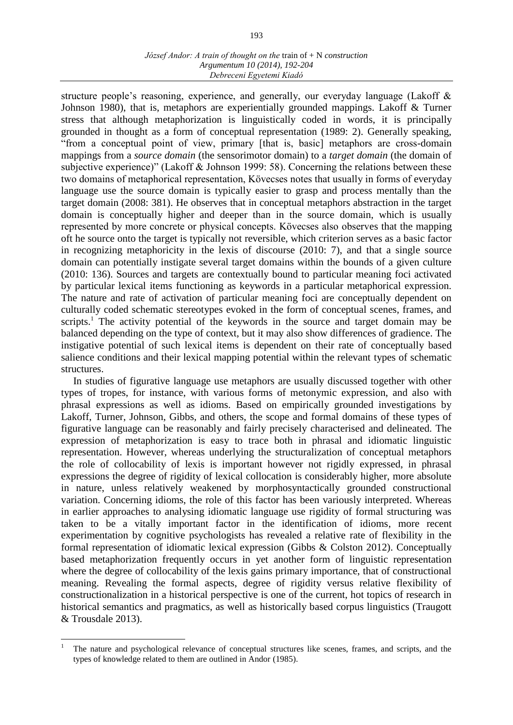structure people's reasoning, experience, and generally, our everyday language (Lakoff & Johnson 1980), that is, metaphors are experientially grounded mappings. Lakoff & Turner stress that although metaphorization is linguistically coded in words, it is principally grounded in thought as a form of conceptual representation (1989: 2). Generally speaking, "from a conceptual point of view, primary [that is, basic] metaphors are cross-domain mappings from a *source domain* (the sensorimotor domain) to a *target domain* (the domain of subjective experience)" (Lakoff & Johnson 1999: 58). Concerning the relations between these two domains of metaphorical representation, Kövecses notes that usually in forms of everyday language use the source domain is typically easier to grasp and process mentally than the target domain (2008: 381). He observes that in conceptual metaphors abstraction in the target domain is conceptually higher and deeper than in the source domain, which is usually represented by more concrete or physical concepts. Kövecses also observes that the mapping oft he source onto the target is typically not reversible, which criterion serves as a basic factor in recognizing metaphoricity in the lexis of discourse (2010: 7), and that a single source domain can potentially instigate several target domains within the bounds of a given culture (2010: 136). Sources and targets are contextually bound to particular meaning foci activated by particular lexical items functioning as keywords in a particular metaphorical expression. The nature and rate of activation of particular meaning foci are conceptually dependent on culturally coded schematic stereotypes evoked in the form of conceptual scenes, frames, and scripts.<sup>1</sup> The activity potential of the keywords in the source and target domain may be balanced depending on the type of context, but it may also show differences of gradience. The instigative potential of such lexical items is dependent on their rate of conceptually based salience conditions and their lexical mapping potential within the relevant types of schematic structures.

In studies of figurative language use metaphors are usually discussed together with other types of tropes, for instance, with various forms of metonymic expression, and also with phrasal expressions as well as idioms. Based on empirically grounded investigations by Lakoff, Turner, Johnson, Gibbs, and others, the scope and formal domains of these types of figurative language can be reasonably and fairly precisely characterised and delineated. The expression of metaphorization is easy to trace both in phrasal and idiomatic linguistic representation. However, whereas underlying the structuralization of conceptual metaphors the role of collocability of lexis is important however not rigidly expressed, in phrasal expressions the degree of rigidity of lexical collocation is considerably higher, more absolute in nature, unless relatively weakened by morphosyntactically grounded constructional variation. Concerning idioms, the role of this factor has been variously interpreted. Whereas in earlier approaches to analysing idiomatic language use rigidity of formal structuring was taken to be a vitally important factor in the identification of idioms, more recent experimentation by cognitive psychologists has revealed a relative rate of flexibility in the formal representation of idiomatic lexical expression (Gibbs & Colston 2012). Conceptually based metaphorization frequently occurs in yet another form of linguistic representation where the degree of collocability of the lexis gains primary importance, that of constructional meaning. Revealing the formal aspects, degree of rigidity versus relative flexibility of constructionalization in a historical perspective is one of the current, hot topics of research in historical semantics and pragmatics, as well as historically based corpus linguistics (Traugott & Trousdale 2013).

 $\overline{a}$ 

<sup>1</sup> The nature and psychological relevance of conceptual structures like scenes, frames, and scripts, and the types of knowledge related to them are outlined in Andor (1985).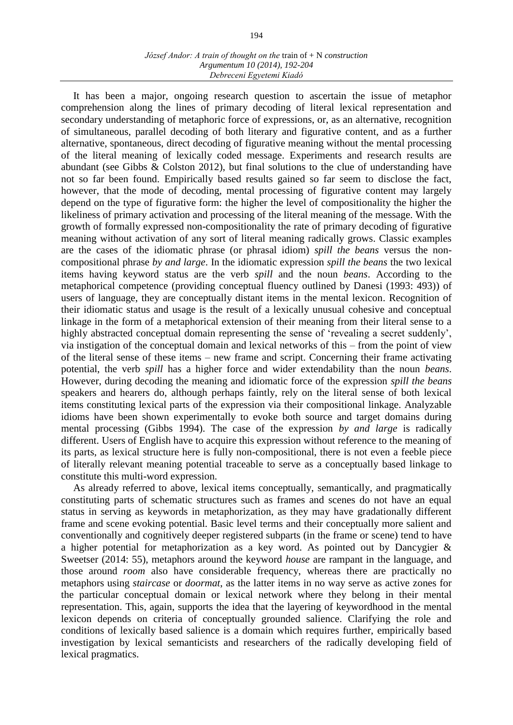It has been a major, ongoing research question to ascertain the issue of metaphor comprehension along the lines of primary decoding of literal lexical representation and secondary understanding of metaphoric force of expressions, or, as an alternative, recognition of simultaneous, parallel decoding of both literary and figurative content, and as a further alternative, spontaneous, direct decoding of figurative meaning without the mental processing of the literal meaning of lexically coded message. Experiments and research results are abundant (see Gibbs & Colston 2012), but final solutions to the clue of understanding have not so far been found. Empirically based results gained so far seem to disclose the fact, however, that the mode of decoding, mental processing of figurative content may largely depend on the type of figurative form: the higher the level of compositionality the higher the likeliness of primary activation and processing of the literal meaning of the message. With the growth of formally expressed non-compositionality the rate of primary decoding of figurative meaning without activation of any sort of literal meaning radically grows. Classic examples are the cases of the idiomatic phrase (or phrasal idiom) *spill the beans* versus the noncompositional phrase *by and large*. In the idiomatic expression *spill the beans* the two lexical items having keyword status are the verb *spill* and the noun *beans*. According to the metaphorical competence (providing conceptual fluency outlined by Danesi (1993: 493)) of users of language, they are conceptually distant items in the mental lexicon. Recognition of their idiomatic status and usage is the result of a lexically unusual cohesive and conceptual linkage in the form of a metaphorical extension of their meaning from their literal sense to a highly abstracted conceptual domain representing the sense of 'revealing a secret suddenly', via instigation of the conceptual domain and lexical networks of this – from the point of view of the literal sense of these items – new frame and script. Concerning their frame activating potential, the verb *spill* has a higher force and wider extendability than the noun *beans*. However, during decoding the meaning and idiomatic force of the expression *spill the beans*  speakers and hearers do, although perhaps faintly, rely on the literal sense of both lexical items constituting lexical parts of the expression via their compositional linkage. Analyzable idioms have been shown experimentally to evoke both source and target domains during mental processing (Gibbs 1994). The case of the expression *by and large* is radically different. Users of English have to acquire this expression without reference to the meaning of its parts, as lexical structure here is fully non-compositional, there is not even a feeble piece of literally relevant meaning potential traceable to serve as a conceptually based linkage to constitute this multi-word expression.

As already referred to above, lexical items conceptually, semantically, and pragmatically constituting parts of schematic structures such as frames and scenes do not have an equal status in serving as keywords in metaphorization, as they may have gradationally different frame and scene evoking potential. Basic level terms and their conceptually more salient and conventionally and cognitively deeper registered subparts (in the frame or scene) tend to have a higher potential for metaphorization as a key word. As pointed out by Dancygier & Sweetser (2014: 55), metaphors around the keyword *house* are rampant in the language, and those around *room* also have considerable frequency, whereas there are practically no metaphors using *staircase* or *doormat*, as the latter items in no way serve as active zones for the particular conceptual domain or lexical network where they belong in their mental representation. This, again, supports the idea that the layering of keywordhood in the mental lexicon depends on criteria of conceptually grounded salience. Clarifying the role and conditions of lexically based salience is a domain which requires further, empirically based investigation by lexical semanticists and researchers of the radically developing field of lexical pragmatics.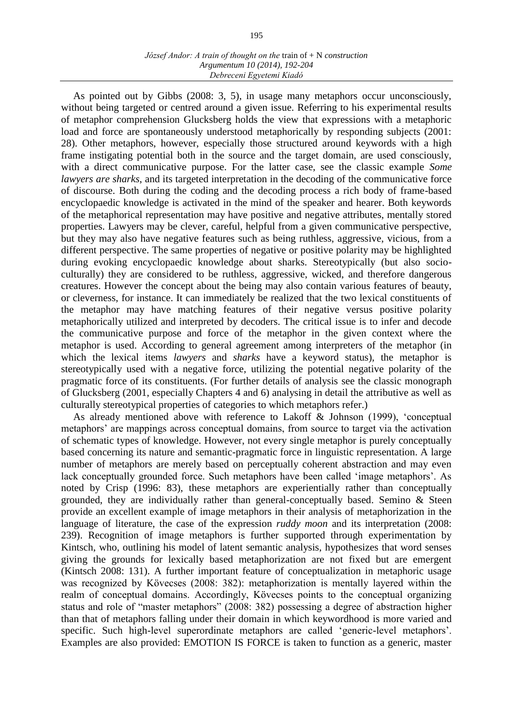As pointed out by Gibbs (2008: 3, 5), in usage many metaphors occur unconsciously, without being targeted or centred around a given issue. Referring to his experimental results of metaphor comprehension Glucksberg holds the view that expressions with a metaphoric load and force are spontaneously understood metaphorically by responding subjects (2001: 28). Other metaphors, however, especially those structured around keywords with a high frame instigating potential both in the source and the target domain, are used consciously, with a direct communicative purpose. For the latter case, see the classic example *Some lawyers are sharks*, and its targeted interpretation in the decoding of the communicative force of discourse. Both during the coding and the decoding process a rich body of frame-based encyclopaedic knowledge is activated in the mind of the speaker and hearer. Both keywords of the metaphorical representation may have positive and negative attributes, mentally stored properties. Lawyers may be clever, careful, helpful from a given communicative perspective, but they may also have negative features such as being ruthless, aggressive, vicious, from a different perspective. The same properties of negative or positive polarity may be highlighted during evoking encyclopaedic knowledge about sharks. Stereotypically (but also socioculturally) they are considered to be ruthless, aggressive, wicked, and therefore dangerous creatures. However the concept about the being may also contain various features of beauty, or cleverness, for instance. It can immediately be realized that the two lexical constituents of the metaphor may have matching features of their negative versus positive polarity metaphorically utilized and interpreted by decoders. The critical issue is to infer and decode the communicative purpose and force of the metaphor in the given context where the metaphor is used. According to general agreement among interpreters of the metaphor (in which the lexical items *lawyers* and *sharks* have a keyword status), the metaphor is stereotypically used with a negative force, utilizing the potential negative polarity of the pragmatic force of its constituents. (For further details of analysis see the classic monograph of Glucksberg (2001, especially Chapters 4 and 6) analysing in detail the attributive as well as culturally stereotypical properties of categories to which metaphors refer.)

As already mentioned above with reference to Lakoff & Johnson (1999), 'conceptual metaphors' are mappings across conceptual domains, from source to target via the activation of schematic types of knowledge. However, not every single metaphor is purely conceptually based concerning its nature and semantic-pragmatic force in linguistic representation. A large number of metaphors are merely based on perceptually coherent abstraction and may even lack conceptually grounded force. Such metaphors have been called 'image metaphors'. As noted by Crisp (1996: 83), these metaphors are experientially rather than conceptually grounded, they are individually rather than general-conceptually based. Semino & Steen provide an excellent example of image metaphors in their analysis of metaphorization in the language of literature, the case of the expression *ruddy moon* and its interpretation (2008: 239). Recognition of image metaphors is further supported through experimentation by Kintsch, who, outlining his model of latent semantic analysis, hypothesizes that word senses giving the grounds for lexically based metaphorization are not fixed but are emergent (Kintsch 2008: 131). A further important feature of conceptualization in metaphoric usage was recognized by Kövecses (2008: 382): metaphorization is mentally layered within the realm of conceptual domains. Accordingly, Kövecses points to the conceptual organizing status and role of "master metaphors" (2008: 382) possessing a degree of abstraction higher than that of metaphors falling under their domain in which keywordhood is more varied and specific. Such high-level superordinate metaphors are called 'generic-level metaphors'. Examples are also provided: EMOTION IS FORCE is taken to function as a generic, master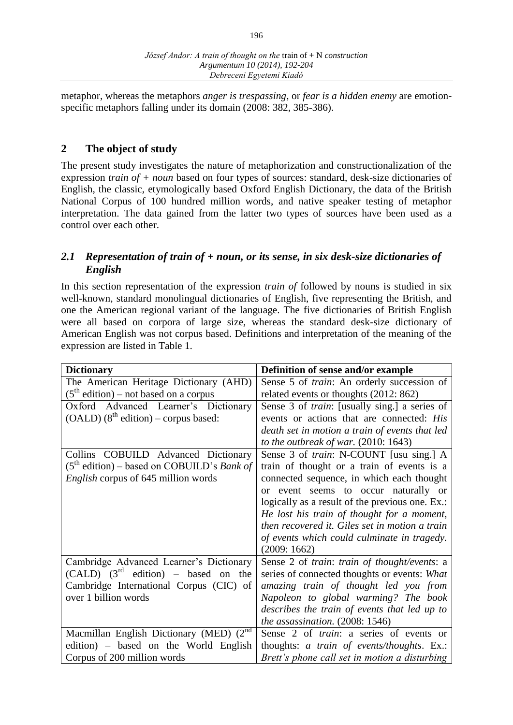metaphor, whereas the metaphors *anger is trespassing*, or *fear is a hidden enemy* are emotionspecific metaphors falling under its domain (2008: 382, 385-386).

## **2 The object of study**

The present study investigates the nature of metaphorization and constructionalization of the expression *train of + noun* based on four types of sources: standard, desk-size dictionaries of English, the classic, etymologically based Oxford English Dictionary, the data of the British National Corpus of 100 hundred million words, and native speaker testing of metaphor interpretation. The data gained from the latter two types of sources have been used as a control over each other.

## *2.1 Representation of train of + noun, or its sense, in six desk-size dictionaries of English*

In this section representation of the expression *train of* followed by nouns is studied in six well-known, standard monolingual dictionaries of English, five representing the British, and one the American regional variant of the language. The five dictionaries of British English were all based on corpora of large size, whereas the standard desk-size dictionary of American English was not corpus based. Definitions and interpretation of the meaning of the expression are listed in Table 1.

| <b>Dictionary</b>                                   | Definition of sense and/or example                    |  |  |
|-----------------------------------------------------|-------------------------------------------------------|--|--|
| The American Heritage Dictionary (AHD)              | Sense 5 of <i>train</i> : An orderly succession of    |  |  |
| $(5th$ edition) – not based on a corpus             | related events or thoughts (2012: 862)                |  |  |
| Oxford Advanced Learner's Dictionary                | Sense 3 of <i>train</i> : [usually sing.] a series of |  |  |
| $(OALD)$ (8 <sup>th</sup> edition) – corpus based:  | events or actions that are connected: His             |  |  |
|                                                     | death set in motion a train of events that led        |  |  |
|                                                     | to the outbreak of war. $(2010:1643)$                 |  |  |
| Collins COBUILD Advanced Dictionary                 | Sense 3 of <i>train</i> : N-COUNT [usu sing.] A       |  |  |
| $(5th edition)$ – based on COBUILD's <i>Bank of</i> | train of thought or a train of events is a            |  |  |
| <i>English</i> corpus of 645 million words          | connected sequence, in which each thought             |  |  |
|                                                     | or event seems to occur naturally or                  |  |  |
|                                                     | logically as a result of the previous one. Ex.:       |  |  |
|                                                     | He lost his train of thought for a moment,            |  |  |
|                                                     | then recovered it. Giles set in motion a train        |  |  |
|                                                     | of events which could culminate in tragedy.           |  |  |
|                                                     | (2009:1662)                                           |  |  |
| Cambridge Advanced Learner's Dictionary             | Sense 2 of train: train of thought/events: a          |  |  |
| $(CALD)$ $(3rd$ edition) – based on the             | series of connected thoughts or events: What          |  |  |
| Cambridge International Corpus (CIC) of             | amazing train of thought led you from                 |  |  |
| over 1 billion words                                | Napoleon to global warming? The book                  |  |  |
|                                                     | describes the train of events that led up to          |  |  |
|                                                     | the assassination. $(2008:1546)$                      |  |  |
| Macmillan English Dictionary (MED) (2 <sup>nd</sup> | Sense 2 of <i>train</i> : a series of events or       |  |  |
| edition) – based on the World English               | thoughts: <i>a train of events/thoughts</i> . Ex.:    |  |  |
| Corpus of 200 million words                         | Brett's phone call set in motion a disturbing         |  |  |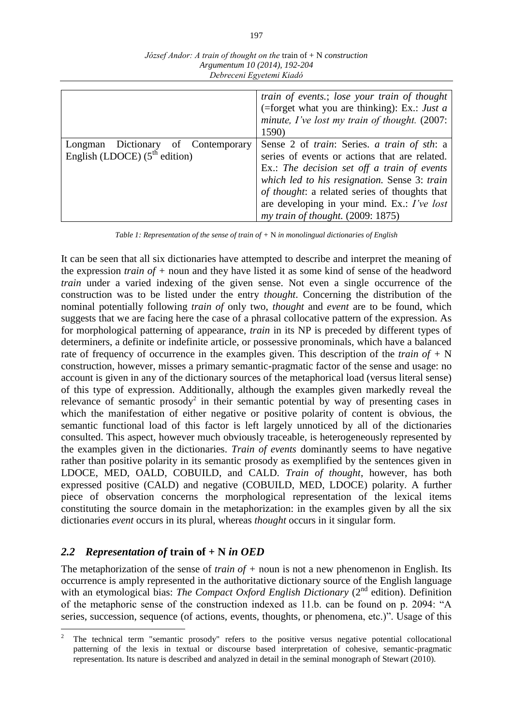|                                                                          | train of events.; lose your train of thought<br>(=forget what you are thinking): Ex.: Just a<br>minute, I've lost my train of thought. (2007:<br>1590)                                                                                                                                                                           |
|--------------------------------------------------------------------------|----------------------------------------------------------------------------------------------------------------------------------------------------------------------------------------------------------------------------------------------------------------------------------------------------------------------------------|
| Dictionary of Contemporary<br>Longman<br>English (LDOCE) $(5th$ edition) | Sense 2 of train: Series. a train of sth: a<br>series of events or actions that are related.<br>Ex.: The decision set off a train of events<br>which led to his resignation. Sense 3: train<br>of thought: a related series of thoughts that<br>are developing in your mind. Ex.: I've lost<br>my train of thought. (2009: 1875) |

*József Andor: A train of thought on the* train of + N *construction Argumentum 10 (2014), 192-204 Debreceni Egyetemi Kiadó*

*Table 1: Representation of the sense of train of +* N *in monolingual dictionaries of English*

It can be seen that all six dictionaries have attempted to describe and interpret the meaning of the expression *train of +* noun and they have listed it as some kind of sense of the headword *train* under a varied indexing of the given sense. Not even a single occurrence of the construction was to be listed under the entry *thought*. Concerning the distribution of the nominal potentially following *train of* only two, *thought* and *event* are to be found, which suggests that we are facing here the case of a phrasal collocative pattern of the expression. As for morphological patterning of appearance, *train* in its NP is preceded by different types of determiners, a definite or indefinite article, or possessive pronominals, which have a balanced rate of frequency of occurrence in the examples given. This description of the *train of +* N construction, however, misses a primary semantic-pragmatic factor of the sense and usage: no account is given in any of the dictionary sources of the metaphorical load (versus literal sense) of this type of expression. Additionally, although the examples given markedly reveal the relevance of semantic prosody<sup>2</sup> in their semantic potential by way of presenting cases in which the manifestation of either negative or positive polarity of content is obvious, the semantic functional load of this factor is left largely unnoticed by all of the dictionaries consulted. This aspect, however much obviously traceable, is heterogeneously represented by the examples given in the dictionaries. *Train of events* dominantly seems to have negative rather than positive polarity in its semantic prosody as exemplified by the sentences given in LDOCE, MED, OALD, COBUILD, and CALD. *Train of thought*, however, has both expressed positive (CALD) and negative (COBUILD, MED, LDOCE) polarity. A further piece of observation concerns the morphological representation of the lexical items constituting the source domain in the metaphorization: in the examples given by all the six dictionaries *event* occurs in its plural, whereas *thought* occurs in it singular form.

### *2.2 Representation of* **train of + N** *in OED*

 $\overline{a}$ 

The metaphorization of the sense of *train of +* noun is not a new phenomenon in English. Its occurrence is amply represented in the authoritative dictionary source of the English language with an etymological bias: *The Compact Oxford English Dictionary* (2<sup>nd</sup> edition). Definition of the metaphoric sense of the construction indexed as 11.b. can be found on p. 2094: "A series, succession, sequence (of actions, events, thoughts, or phenomena, etc.)". Usage of this

<sup>2</sup> The technical term "semantic prosody" refers to the positive versus negative potential collocational patterning of the lexis in textual or discourse based interpretation of cohesive, semantic-pragmatic representation. Its nature is described and analyzed in detail in the seminal monograph of Stewart (2010).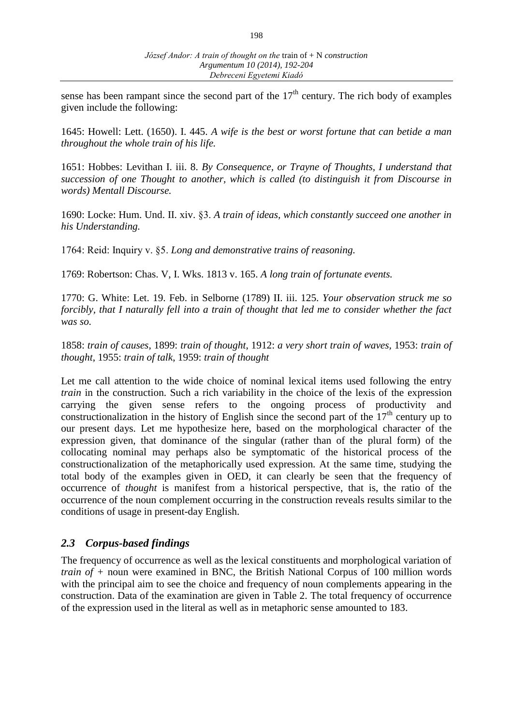sense has been rampant since the second part of the  $17<sup>th</sup>$  century. The rich body of examples given include the following:

1645: Howell: Lett. (1650). I. 445. *A wife is the best or worst fortune that can betide a man throughout the whole train of his life.*

1651: Hobbes: Levithan I. iii. 8. *By Consequence, or Trayne of Thoughts, I understand that succession of one Thought to another, which is called (to distinguish it from Discourse in words) Mentall Discourse.*

1690: Locke: Hum. Und. II. xiv. §3. *A train of ideas, which constantly succeed one another in his Understanding.*

1764: Reid: Inquiry v. §5. *Long and demonstrative trains of reasoning.*

1769: Robertson: Chas. V, I. Wks. 1813 v. 165. *A long train of fortunate events.*

1770: G. White: Let. 19. Feb. in Selborne (1789) II. iii. 125. *Your observation struck me so forcibly, that I naturally fell into a train of thought that led me to consider whether the fact was so.*

1858: *train of causes*, 1899: *train of thought*, 1912: *a very short train of waves,* 1953: *train of thought*, 1955: *train of talk*, 1959: *train of thought*

Let me call attention to the wide choice of nominal lexical items used following the entry *train* in the construction. Such a rich variability in the choice of the lexis of the expression carrying the given sense refers to the ongoing process of productivity and constructionalization in the history of English since the second part of the  $17<sup>th</sup>$  century up to our present days. Let me hypothesize here, based on the morphological character of the expression given, that dominance of the singular (rather than of the plural form) of the collocating nominal may perhaps also be symptomatic of the historical process of the constructionalization of the metaphorically used expression. At the same time, studying the total body of the examples given in OED, it can clearly be seen that the frequency of occurrence of *thought* is manifest from a historical perspective, that is, the ratio of the occurrence of the noun complement occurring in the construction reveals results similar to the conditions of usage in present-day English.

### *2.3 Corpus-based findings*

The frequency of occurrence as well as the lexical constituents and morphological variation of *train of +* noun were examined in BNC, the British National Corpus of 100 million words with the principal aim to see the choice and frequency of noun complements appearing in the construction. Data of the examination are given in Table 2. The total frequency of occurrence of the expression used in the literal as well as in metaphoric sense amounted to 183.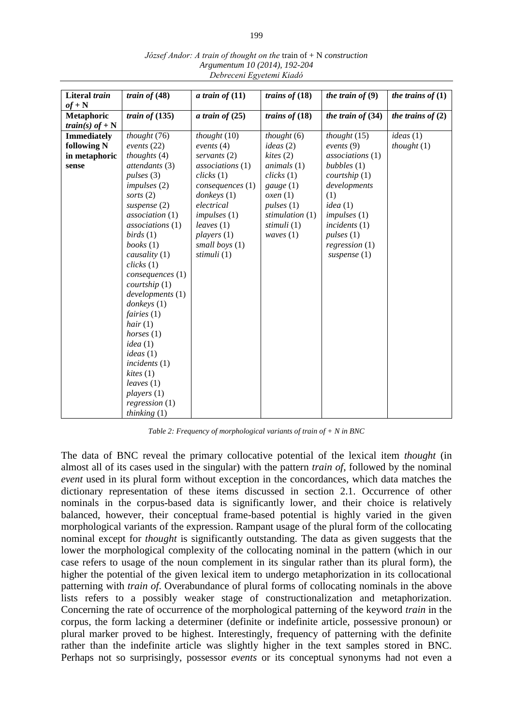| Literal train          | train of $(48)$          | a train of $(11)$ | trains of $(18)$ | the train of $(9)$  | the trains of $(1)$ |
|------------------------|--------------------------|-------------------|------------------|---------------------|---------------------|
| $of + N$               |                          |                   |                  |                     |                     |
| <b>Metaphoric</b>      | train of $(135)$         | a train of $(25)$ | trains of $(18)$ | the train of $(34)$ | the trains of $(2)$ |
| <i>train(s) of</i> + N |                          |                   |                  |                     |                     |
| <b>Immediately</b>     | thought $(76)$           | thought $(10)$    | thought $(6)$    | thought $(15)$      | ideas(1)            |
| following N            | events $(22)$            | events $(4)$      | ideas(2)         | events $(9)$        | thought(1)          |
| in metaphoric          | thoughts $(4)$           | servants (2)      | kites(2)         | associations(1)     |                     |
| sense                  | attendants (3)           | associations (1)  | animals(1)       | bubbles $(1)$       |                     |
|                        | pulses(3)                | clicks(1)         | clicks(1)        | courtship(1)        |                     |
|                        | impulses(2)              | consequences (1)  | gauge $(1)$      | developments        |                     |
|                        | sorts $(2)$              | donkeys(1)        | oxen(1)          | (1)                 |                     |
|                        | suspense $(2)$           | electrical        | pulses(1)        | idea(1)             |                     |
|                        | association (1)          | impulses(1)       | stimulation (1)  | impulses(1)         |                     |
|                        | associations (1)         | leaves (1)        | stimuli (1)      | incidents(1)        |                     |
|                        | birds(1)                 | plays(1)          | waves $(1)$      | pulses(1)           |                     |
|                        | books(1)                 | small boys $(1)$  |                  | regression(1)       |                     |
|                        | causality (1)            | stimuli (1)       |                  | suspense $(1)$      |                     |
|                        | clicks(1)                |                   |                  |                     |                     |
|                        | consequences (1)         |                   |                  |                     |                     |
|                        | countship(1)             |                   |                  |                     |                     |
|                        | developments (1)         |                   |                  |                     |                     |
|                        | donkeys(1)               |                   |                  |                     |                     |
|                        | fairies $(1)$            |                   |                  |                     |                     |
|                        | hair(1)                  |                   |                  |                     |                     |
|                        | <i>horses</i> $(1)$      |                   |                  |                     |                     |
|                        | idea(1)                  |                   |                  |                     |                     |
|                        | ideas(1)<br>incidents(1) |                   |                  |                     |                     |
|                        | kites(1)                 |                   |                  |                     |                     |
|                        | leaves (1)               |                   |                  |                     |                     |
|                        | players(1)               |                   |                  |                     |                     |
|                        | regression(1)            |                   |                  |                     |                     |
|                        | thinking $(1)$           |                   |                  |                     |                     |

*József Andor: A train of thought on the* train of + N *construction Argumentum 10 (2014), 192-204 Debreceni Egyetemi Kiadó*

*Table 2: Frequency of morphological variants of train of + N in BNC* 

The data of BNC reveal the primary collocative potential of the lexical item *thought* (in almost all of its cases used in the singular) with the pattern *train of*, followed by the nominal *event* used in its plural form without exception in the concordances, which data matches the dictionary representation of these items discussed in section 2.1. Occurrence of other nominals in the corpus-based data is significantly lower, and their choice is relatively balanced, however, their conceptual frame-based potential is highly varied in the given morphological variants of the expression. Rampant usage of the plural form of the collocating nominal except for *thought* is significantly outstanding. The data as given suggests that the lower the morphological complexity of the collocating nominal in the pattern (which in our case refers to usage of the noun complement in its singular rather than its plural form), the higher the potential of the given lexical item to undergo metaphorization in its collocational patterning with *train of*. Overabundance of plural forms of collocating nominals in the above lists refers to a possibly weaker stage of constructionalization and metaphorization. Concerning the rate of occurrence of the morphological patterning of the keyword *train* in the corpus, the form lacking a determiner (definite or indefinite article, possessive pronoun) or plural marker proved to be highest. Interestingly, frequency of patterning with the definite rather than the indefinite article was slightly higher in the text samples stored in BNC. Perhaps not so surprisingly, possessor *events* or its conceptual synonyms had not even a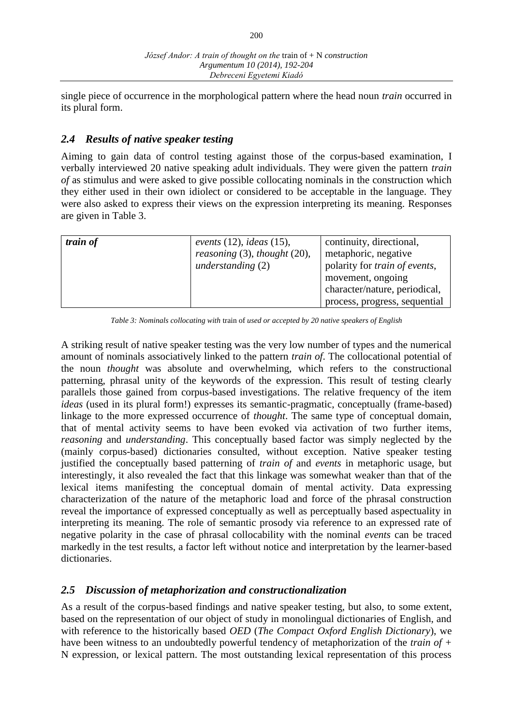single piece of occurrence in the morphological pattern where the head noun *train* occurred in its plural form.

# *2.4 Results of native speaker testing*

Aiming to gain data of control testing against those of the corpus-based examination, I verbally interviewed 20 native speaking adult individuals. They were given the pattern *train of* as stimulus and were asked to give possible collocating nominals in the construction which they either used in their own idiolect or considered to be acceptable in the language. They were also asked to express their views on the expression interpreting its meaning. Responses are given in Table 3.

| train of | events $(12)$ , ideas $(15)$ ,<br>reasoning $(3)$ , thought $(20)$ ,<br>understanding $(2)$ | continuity, directional,<br>metaphoric, negative<br>polarity for train of events,<br>movement, ongoing<br>character/nature, periodical,<br>process, progress, sequential |
|----------|---------------------------------------------------------------------------------------------|--------------------------------------------------------------------------------------------------------------------------------------------------------------------------|
|          |                                                                                             |                                                                                                                                                                          |

*Table 3: Nominals collocating with* train of *used or accepted by 20 native speakers of English*

A striking result of native speaker testing was the very low number of types and the numerical amount of nominals associatively linked to the pattern *train of*. The collocational potential of the noun *thought* was absolute and overwhelming, which refers to the constructional patterning, phrasal unity of the keywords of the expression. This result of testing clearly parallels those gained from corpus-based investigations. The relative frequency of the item *ideas* (used in its plural form!) expresses its semantic-pragmatic, conceptually (frame-based) linkage to the more expressed occurrence of *thought*. The same type of conceptual domain, that of mental activity seems to have been evoked via activation of two further items, *reasoning* and *understanding*. This conceptually based factor was simply neglected by the (mainly corpus-based) dictionaries consulted, without exception. Native speaker testing justified the conceptually based patterning of *train of* and *events* in metaphoric usage, but interestingly, it also revealed the fact that this linkage was somewhat weaker than that of the lexical items manifesting the conceptual domain of mental activity. Data expressing characterization of the nature of the metaphoric load and force of the phrasal construction reveal the importance of expressed conceptually as well as perceptually based aspectuality in interpreting its meaning. The role of semantic prosody via reference to an expressed rate of negative polarity in the case of phrasal collocability with the nominal *events* can be traced markedly in the test results, a factor left without notice and interpretation by the learner-based dictionaries.

## *2.5 Discussion of metaphorization and constructionalization*

As a result of the corpus-based findings and native speaker testing, but also, to some extent, based on the representation of our object of study in monolingual dictionaries of English, and with reference to the historically based *OED* (*The Compact Oxford English Dictionary*), we have been witness to an undoubtedly powerful tendency of metaphorization of the *train of +*  N expression, or lexical pattern. The most outstanding lexical representation of this process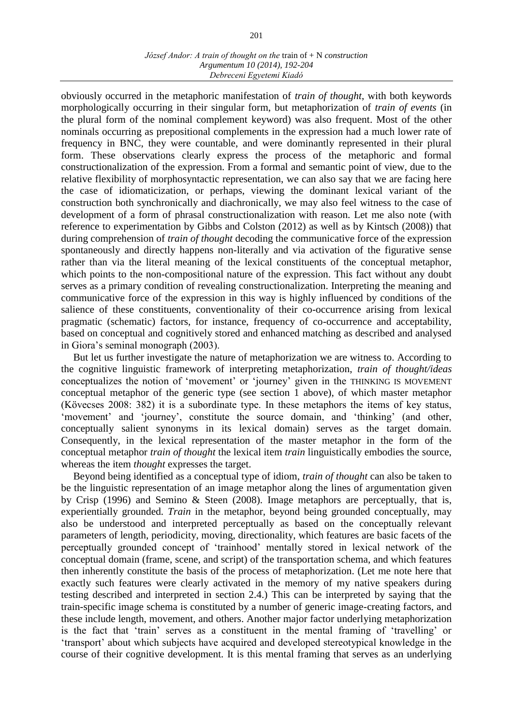obviously occurred in the metaphoric manifestation of *train of thought*, with both keywords morphologically occurring in their singular form, but metaphorization of *train of events* (in the plural form of the nominal complement keyword) was also frequent. Most of the other nominals occurring as prepositional complements in the expression had a much lower rate of frequency in BNC, they were countable, and were dominantly represented in their plural form. These observations clearly express the process of the metaphoric and formal constructionalization of the expression. From a formal and semantic point of view, due to the relative flexibility of morphosyntactic representation, we can also say that we are facing here the case of idiomaticization, or perhaps, viewing the dominant lexical variant of the construction both synchronically and diachronically, we may also feel witness to the case of development of a form of phrasal constructionalization with reason. Let me also note (with reference to experimentation by Gibbs and Colston (2012) as well as by Kintsch (2008)) that during comprehension of *train of thought* decoding the communicative force of the expression spontaneously and directly happens non-literally and via activation of the figurative sense rather than via the literal meaning of the lexical constituents of the conceptual metaphor, which points to the non-compositional nature of the expression. This fact without any doubt serves as a primary condition of revealing constructionalization. Interpreting the meaning and communicative force of the expression in this way is highly influenced by conditions of the salience of these constituents, conventionality of their co-occurrence arising from lexical pragmatic (schematic) factors, for instance, frequency of co-occurrence and acceptability, based on conceptual and cognitively stored and enhanced matching as described and analysed in Giora's seminal monograph (2003).

But let us further investigate the nature of metaphorization we are witness to. According to the cognitive linguistic framework of interpreting metaphorization, *train of thought/ideas*  conceptualizes the notion of 'movement' or 'journey' given in the THINKING IS MOVEMENT conceptual metaphor of the generic type (see section 1 above), of which master metaphor (Kövecses 2008: 382) it is a subordinate type. In these metaphors the items of key status, 'movement' and 'journey', constitute the source domain, and 'thinking' (and other, conceptually salient synonyms in its lexical domain) serves as the target domain. Consequently, in the lexical representation of the master metaphor in the form of the conceptual metaphor *train of thought* the lexical item *train* linguistically embodies the source, whereas the item *thought* expresses the target.

Beyond being identified as a conceptual type of idiom, *train of thought* can also be taken to be the linguistic representation of an image metaphor along the lines of argumentation given by Crisp (1996) and Semino & Steen (2008). Image metaphors are perceptually, that is, experientially grounded. *Train* in the metaphor, beyond being grounded conceptually, may also be understood and interpreted perceptually as based on the conceptually relevant parameters of length, periodicity, moving, directionality, which features are basic facets of the perceptually grounded concept of 'trainhood' mentally stored in lexical network of the conceptual domain (frame, scene, and script) of the transportation schema, and which features then inherently constitute the basis of the process of metaphorization. (Let me note here that exactly such features were clearly activated in the memory of my native speakers during testing described and interpreted in section 2.4.) This can be interpreted by saying that the train-specific image schema is constituted by a number of generic image-creating factors, and these include length, movement, and others. Another major factor underlying metaphorization is the fact that 'train' serves as a constituent in the mental framing of 'travelling' or 'transport' about which subjects have acquired and developed stereotypical knowledge in the course of their cognitive development. It is this mental framing that serves as an underlying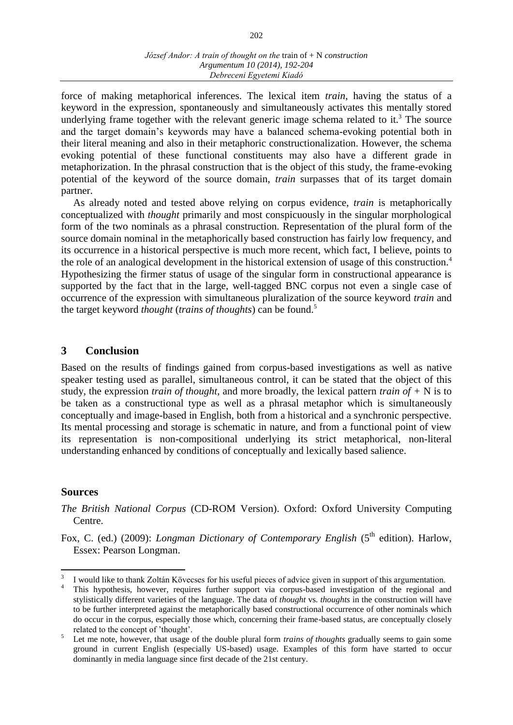force of making metaphorical inferences. The lexical item *train*, having the status of a keyword in the expression, spontaneously and simultaneously activates this mentally stored underlying frame together with the relevant generic image schema related to it.<sup>3</sup> The source and the target domain's keywords may have a balanced schema-evoking potential both in their literal meaning and also in their metaphoric constructionalization. However, the schema evoking potential of these functional constituents may also have a different grade in metaphorization. In the phrasal construction that is the object of this study, the frame-evoking potential of the keyword of the source domain, *train* surpasses that of its target domain partner.

As already noted and tested above relying on corpus evidence, *train* is metaphorically conceptualized with *thought* primarily and most conspicuously in the singular morphological form of the two nominals as a phrasal construction. Representation of the plural form of the source domain nominal in the metaphorically based construction has fairly low frequency, and its occurrence in a historical perspective is much more recent, which fact, I believe, points to the role of an analogical development in the historical extension of usage of this construction.<sup>4</sup> Hypothesizing the firmer status of usage of the singular form in constructional appearance is supported by the fact that in the large, well-tagged BNC corpus not even a single case of occurrence of the expression with simultaneous pluralization of the source keyword *train* and the target keyword *thought* (*trains of thoughts*) can be found.<sup>5</sup>

### **3 Conclusion**

Based on the results of findings gained from corpus-based investigations as well as native speaker testing used as parallel, simultaneous control, it can be stated that the object of this study, the expression *train of thought*, and more broadly, the lexical pattern *train of +* N is to be taken as a constructional type as well as a phrasal metaphor which is simultaneously conceptually and image-based in English, both from a historical and a synchronic perspective. Its mental processing and storage is schematic in nature, and from a functional point of view its representation is non-compositional underlying its strict metaphorical, non-literal understanding enhanced by conditions of conceptually and lexically based salience.

### **Sources**

 $\overline{a}$ 

*The British National Corpus* (CD-ROM Version). Oxford: Oxford University Computing Centre.

Fox, C. (ed.) (2009): *Longman Dictionary of Contemporary English* (5<sup>th</sup> edition). Harlow, Essex: Pearson Longman.

<sup>3</sup> I would like to thank Zoltán Kövecses for his useful pieces of advice given in support of this argumentation.

<sup>&</sup>lt;sup>4</sup> This hypothesis, however, requires further support via corpus-based investigation of the regional and stylistically different varieties of the language. The data of *thought* vs. *thoughts* in the construction will have to be further interpreted against the metaphorically based constructional occurrence of other nominals which do occur in the corpus, especially those which, concerning their frame-based status, are conceptually closely related to the concept of 'thought'.

<sup>&</sup>lt;sup>5</sup> Let me note, however, that usage of the double plural form *trains of thoughts* gradually seems to gain some ground in current English (especially US-based) usage. Examples of this form have started to occur dominantly in media language since first decade of the 21st century.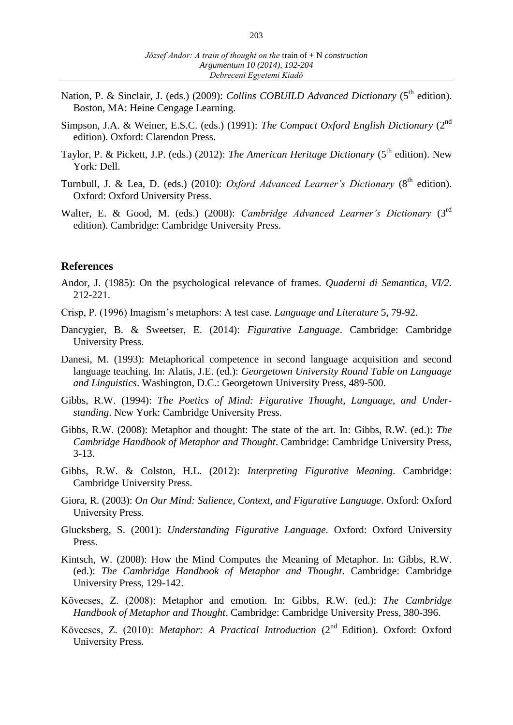- Nation, P. & Sinclair, J. (eds.) (2009): *Collins COBUILD Advanced Dictionary* (5<sup>th</sup> edition). Boston, MA: Heine Cengage Learning.
- Simpson, J.A. & Weiner, E.S.C. (eds.) (1991): *The Compact Oxford English Dictionary* (2<sup>nd</sup> edition). Oxford: Clarendon Press.
- Taylor, P. & Pickett, J.P. (eds.) (2012): *The American Heritage Dictionary* (5<sup>th</sup> edition). New York: Dell.
- Turnbull, J. & Lea, D. (eds.) (2010): *Oxford Advanced Learner's Dictionary* (8<sup>th</sup> edition). Oxford: Oxford University Press.
- Walter, E. & Good, M. (eds.) (2008): *Cambridge Advanced Learner's Dictionary* (3rd edition). Cambridge: Cambridge University Press.

#### **References**

- Andor, J. (1985): On the psychological relevance of frames. *Quaderni di Semantica*, *VI/2*. 212-221.
- Crisp, P. (1996) Imagism's metaphors: A test case. *Language and Literature* 5, 79-92.
- Dancygier, B. & Sweetser, E. (2014): *Figurative Language*. Cambridge: Cambridge University Press.
- Danesi, M. (1993): Metaphorical competence in second language acquisition and second language teaching. In: Alatis, J.E. (ed.): *Georgetown University Round Table on Language and Linguistics*. Washington, D.C.: Georgetown University Press, 489-500.
- Gibbs, R.W. (1994): *The Poetics of Mind: Figurative Thought, Language, and Understanding*. New York: Cambridge University Press.
- Gibbs, R.W. (2008): Metaphor and thought: The state of the art. In: Gibbs, R.W. (ed.): *The Cambridge Handbook of Metaphor and Thought*. Cambridge: Cambridge University Press, 3-13.
- Gibbs, R.W. & Colston, H.L. (2012): *Interpreting Figurative Meaning*. Cambridge: Cambridge University Press.
- Giora, R. (2003): *On Our Mind: Salience, Context, and Figurative Language*. Oxford: Oxford University Press.
- Glucksberg, S. (2001): *Understanding Figurative Language*. Oxford: Oxford University Press.
- Kintsch, W. (2008): How the Mind Computes the Meaning of Metaphor. In: Gibbs, R.W. (ed.): *The Cambridge Handbook of Metaphor and Thought*. Cambridge: Cambridge University Press, 129-142.
- Kövecses, Z. (2008): Metaphor and emotion. In: Gibbs, R.W. (ed.): *The Cambridge Handbook of Metaphor and Thought*. Cambridge: Cambridge University Press, 380-396.
- Kövecses, Z. (2010): *Metaphor: A Practical Introduction* (2<sup>nd</sup> Edition). Oxford: Oxford University Press.